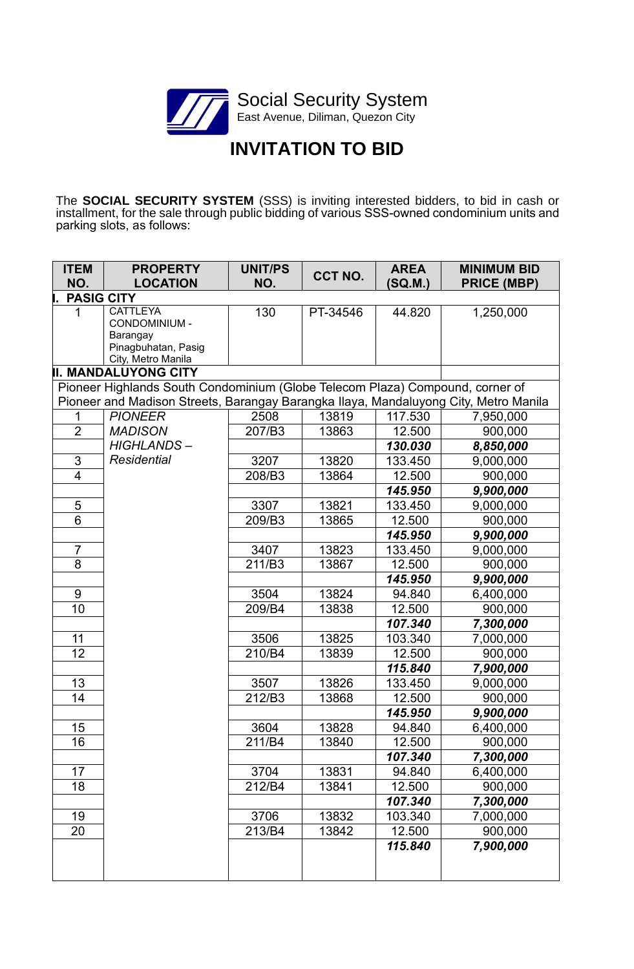

# **INVITATION TO BID**

The **SOCIAL SECURITY SYSTEM** (SSS) is inviting interested bidders, to bid in cash or installment, for the sale through public bidding of various SSS-owned condominium units and parking slots, as follows:

| <b>ITEM</b>       | <b>PROPERTY</b>                                                                      | <b>UNIT/PS</b> | CCT NO.  | <b>AREA</b> | <b>MINIMUM BID</b> |
|-------------------|--------------------------------------------------------------------------------------|----------------|----------|-------------|--------------------|
| NO.               | <b>LOCATION</b>                                                                      | NO.            |          | (SQ.M.)     | <b>PRICE (MBP)</b> |
| <b>PASIG CITY</b> |                                                                                      |                |          |             |                    |
| 1                 | <b>CATTLEYA</b><br>CONDOMINIUM -                                                     | 130            | PT-34546 | 44.820      | 1,250,000          |
|                   | Barangay                                                                             |                |          |             |                    |
|                   | Pinagbuhatan, Pasig                                                                  |                |          |             |                    |
|                   | City, Metro Manila                                                                   |                |          |             |                    |
|                   | <b>II. MANDALUYONG CITY</b>                                                          |                |          |             |                    |
|                   | Pioneer Highlands South Condominium (Globe Telecom Plaza) Compound, corner of        |                |          |             |                    |
|                   | Pioneer and Madison Streets, Barangay Barangka Ilaya, Mandaluyong City, Metro Manila |                |          |             |                    |
|                   | <b>PIONEER</b>                                                                       | 2508           | 13819    | 117.530     | 7,950,000          |
| $\overline{2}$    | <b>MADISON</b>                                                                       | 207/B3         | 13863    | 12.500      | 900,000            |
|                   | <b>HIGHLANDS-</b>                                                                    |                |          | 130.030     | 8,850,000          |
| 3                 | Residential                                                                          | 3207           | 13820    | 133.450     | 9,000,000          |
| $\overline{4}$    |                                                                                      | 208/B3         | 13864    | 12.500      | 900,000            |
|                   |                                                                                      |                |          | 145.950     | 9,900,000          |
| 5                 |                                                                                      | 3307           | 13821    | 133.450     | 9,000,000          |
| 6                 |                                                                                      | 209/B3         | 13865    | 12.500      | 900,000            |
|                   |                                                                                      |                |          | 145.950     | 9,900,000          |
| $\overline{7}$    |                                                                                      | 3407           | 13823    | 133.450     | 9,000,000          |
| 8                 |                                                                                      | 211/B3         | 13867    | 12.500      | 900,000            |
|                   |                                                                                      |                |          | 145.950     | 9,900,000          |
| 9                 |                                                                                      | 3504           | 13824    | 94.840      | 6,400,000          |
| 10                |                                                                                      | 209/B4         | 13838    | 12.500      | 900,000            |
|                   |                                                                                      |                |          | 107.340     | 7,300,000          |
| 11                |                                                                                      | 3506           | 13825    | 103.340     | 7,000,000          |
| $\overline{12}$   |                                                                                      | 210/B4         | 13839    | 12.500      | 900,000            |
|                   |                                                                                      |                |          | 115.840     | 7,900,000          |
| 13                |                                                                                      | 3507           | 13826    | 133.450     | 9,000,000          |
| 14                |                                                                                      | 212/B3         | 13868    | 12.500      | 900,000            |
|                   |                                                                                      |                |          | 145.950     | 9,900,000          |
| 15                |                                                                                      | 3604           | 13828    | 94.840      | 6,400,000          |
| 16                |                                                                                      | 211/B4         | 13840    | 12.500      | 900,000            |
|                   |                                                                                      |                |          | 107.340     | 7,300,000          |
| 17                |                                                                                      | 3704           | 13831    | 94.840      | 6,400,000          |
| 18                |                                                                                      | 212/B4         | 13841    | 12.500      | 900,000            |
|                   |                                                                                      |                |          | 107.340     | 7,300,000          |
| 19                |                                                                                      | 3706           | 13832    | 103.340     | 7,000,000          |
| 20                |                                                                                      | 213/B4         | 13842    | 12.500      | 900,000            |
|                   |                                                                                      |                |          | 115.840     | 7,900,000          |
|                   |                                                                                      |                |          |             |                    |
|                   |                                                                                      |                |          |             |                    |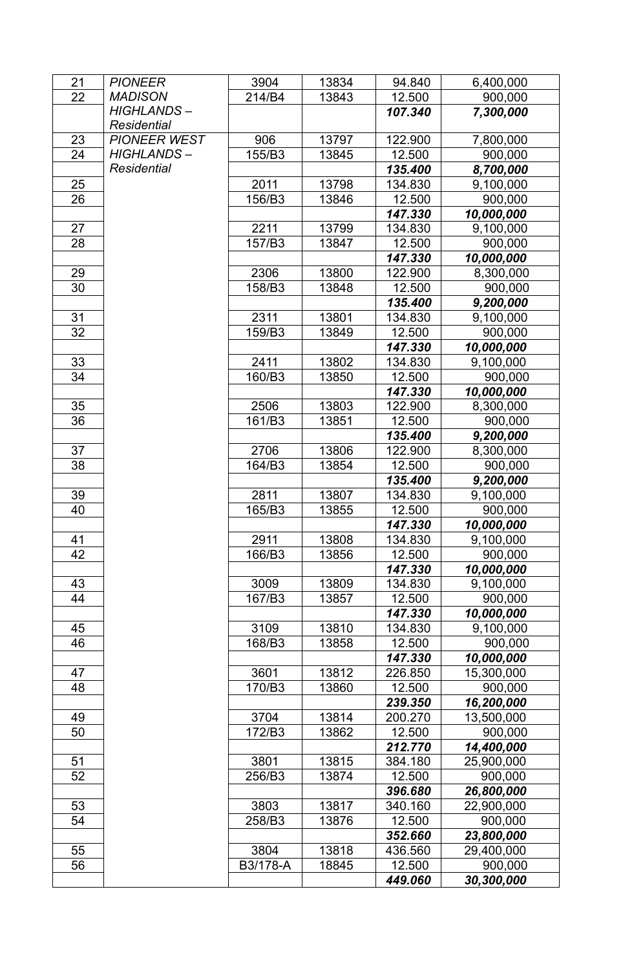| 21       | <b>PIONEER</b>      | 3904             | 13834 | 94.840  | 6,400,000             |
|----------|---------------------|------------------|-------|---------|-----------------------|
| 22       | <b>MADISON</b>      | 214/B4           | 13843 | 12.500  | 900,000               |
|          | <b>HIGHLANDS-</b>   |                  |       | 107.340 | 7,300,000             |
|          | Residential         |                  |       |         |                       |
| 23       | <b>PIONEER WEST</b> | 906              | 13797 | 122.900 | 7,800,000             |
| 24       | <b>HIGHLANDS-</b>   | 155/B3           | 13845 | 12.500  | 900,000               |
|          | <b>Residential</b>  |                  |       | 135.400 | 8,700,000             |
| 25       |                     | 2011             | 13798 | 134.830 | 9,100,000             |
| 26       |                     | 156/B3           | 13846 | 12.500  | 900,000               |
|          |                     |                  |       | 147.330 | 10,000,000            |
| 27       |                     | 2211             | 13799 | 134.830 | 9,100,000             |
| 28       |                     | 157/B3           | 13847 | 12.500  | 900,000               |
|          |                     |                  |       | 147.330 | 10,000,000            |
| 29       |                     | 2306             | 13800 | 122.900 | 8,300,000             |
| 30       |                     | 158/B3           | 13848 | 12.500  | 900,000               |
|          |                     |                  |       | 135.400 | 9,200,000             |
| 31       |                     | 2311             | 13801 | 134.830 | 9,100,000             |
| 32       |                     | 159/B3           | 13849 | 12.500  | 900,000               |
|          |                     |                  |       | 147.330 | 10,000,000            |
| 33       |                     | 2411             | 13802 | 134.830 | 9,100,000             |
| 34       |                     | 160/B3           | 13850 | 12.500  | 900,000               |
|          |                     |                  |       | 147.330 | 10,000,000            |
| 35       |                     | 2506             | 13803 | 122.900 | 8,300,000             |
| 36       |                     | 161/B3           | 13851 | 12.500  | 900,000               |
|          |                     |                  |       | 135.400 | 9,200,000             |
| 37       |                     | 2706             | 13806 | 122.900 | 8,300,000             |
| 38       |                     | 164/B3           | 13854 | 12.500  | 900,000               |
|          |                     |                  |       | 135.400 | 9,200,000             |
| 39       |                     | 2811             | 13807 | 134.830 | 9,100,000             |
| 40       |                     | 165/B3           | 13855 | 12.500  | 900,000               |
|          |                     |                  |       | 147.330 | 10,000,000            |
| 41       |                     | 2911             | 13808 | 134.830 | 9,100,000             |
| 42       |                     | 166/B3           | 13856 | 12.500  | 900,000               |
|          |                     |                  |       | 147.330 | 10,000,000            |
| 43       |                     | 3009             | 13809 | 134.830 | 9,100,000             |
| 44       |                     | 167/B3           | 13857 | 12.500  | 900,000               |
|          |                     |                  |       | 147.330 | 10,000,000            |
| 45       |                     | 3109             | 13810 | 134.830 | 9,100,000             |
| 46       |                     | 168/B3           | 13858 | 12.500  | 900,000               |
|          |                     |                  |       | 147.330 | 10,000,000            |
| 47       |                     | 3601             | 13812 | 226.850 | 15,300,000            |
| 48       |                     | 170/B3           | 13860 | 12.500  | 900,000               |
|          |                     |                  |       | 239.350 | 16,200,000            |
| 49       |                     | 3704             | 13814 | 200.270 | 13,500,000            |
| 50       |                     | 172/B3           | 13862 | 12.500  | 900,000               |
|          |                     |                  |       | 212.770 | 14,400,000            |
| 51       |                     | 3801             | 13815 | 384.180 | 25,900,000            |
| 52       |                     | 256/B3           | 13874 | 12.500  | 900,000               |
|          |                     |                  |       | 396.680 | 26,800,000            |
| 53<br>54 |                     | 3803             | 13817 | 340.160 | 22,900,000            |
|          |                     | 258/B3           | 13876 | 12.500  | 900,000               |
|          |                     |                  |       | 352.660 | 23,800,000            |
| 55       |                     | 3804<br>B3/178-A | 13818 | 436.560 | 29,400,000            |
| 56       |                     |                  | 18845 | 12.500  | 900,000<br>30,300,000 |
|          |                     |                  |       | 449.060 |                       |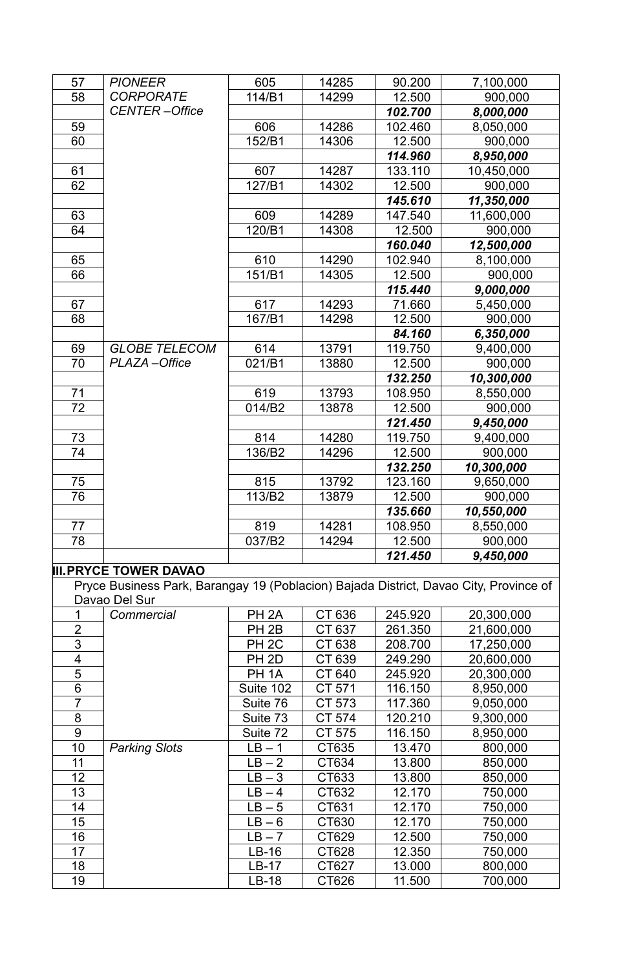| 57                      | <b>PIONEER</b>                                                                        | 605               | 14285  | 90.200  | 7,100,000  |
|-------------------------|---------------------------------------------------------------------------------------|-------------------|--------|---------|------------|
| 58                      | <b>CORPORATE</b>                                                                      | 114/B1            | 14299  | 12.500  | 900,000    |
|                         | <b>CENTER-Office</b>                                                                  |                   |        | 102.700 | 8,000,000  |
| 59                      |                                                                                       | 606               | 14286  | 102.460 | 8,050,000  |
| 60                      |                                                                                       | 152/B1            | 14306  | 12.500  | 900,000    |
|                         |                                                                                       |                   |        | 114.960 | 8,950,000  |
| 61                      |                                                                                       | 607               | 14287  | 133.110 | 10,450,000 |
| 62                      |                                                                                       | 127/B1            | 14302  | 12.500  | 900,000    |
|                         |                                                                                       |                   |        | 145.610 | 11,350,000 |
| 63                      |                                                                                       | 609               | 14289  | 147.540 | 11,600,000 |
| 64                      |                                                                                       | 120/B1            | 14308  | 12.500  | 900,000    |
|                         |                                                                                       |                   |        | 160.040 | 12,500,000 |
| 65                      |                                                                                       | 610               | 14290  | 102.940 | 8,100,000  |
| 66                      |                                                                                       | 151/B1            | 14305  | 12.500  | 900,000    |
|                         |                                                                                       |                   |        | 115.440 | 9,000,000  |
| 67                      |                                                                                       | 617               | 14293  | 71.660  | 5,450,000  |
| 68                      |                                                                                       | 167/B1            | 14298  | 12.500  | 900,000    |
|                         |                                                                                       |                   |        | 84.160  | 6,350,000  |
| 69                      | <b>GLOBE TELECOM</b>                                                                  | 614               | 13791  | 119.750 | 9,400,000  |
| 70                      | PLAZA-Office                                                                          | 021/B1            | 13880  | 12.500  | 900,000    |
|                         |                                                                                       |                   |        | 132.250 | 10,300,000 |
| 71                      |                                                                                       | 619               | 13793  |         | 8,550,000  |
|                         |                                                                                       |                   |        | 108.950 |            |
| 72                      |                                                                                       | 014/B2            | 13878  | 12.500  | 900,000    |
|                         |                                                                                       |                   |        | 121.450 | 9,450,000  |
| 73                      |                                                                                       | 814               | 14280  | 119.750 | 9,400,000  |
| 74                      |                                                                                       | 136/B2            | 14296  | 12.500  | 900,000    |
|                         |                                                                                       |                   |        | 132.250 | 10,300,000 |
| 75                      |                                                                                       | 815               | 13792  | 123.160 | 9,650,000  |
| 76                      |                                                                                       | 113/B2            | 13879  | 12.500  | 900,000    |
|                         |                                                                                       |                   |        | 135.660 | 10,550,000 |
| 77                      |                                                                                       | 819               | 14281  | 108.950 | 8,550,000  |
| 78                      |                                                                                       | 037/B2            | 14294  | 12.500  | 900,000    |
|                         |                                                                                       |                   |        | 121.450 | 9,450,000  |
|                         | <b>III. PRYCE TOWER DAVAO</b>                                                         |                   |        |         |            |
|                         | Pryce Business Park, Barangay 19 (Poblacion) Bajada District, Davao City, Province of |                   |        |         |            |
|                         | Davao Del Sur                                                                         |                   |        |         |            |
| 1                       | Commercial                                                                            | PH <sub>2A</sub>  | CT 636 | 245.920 | 20,300,000 |
| $\overline{2}$          |                                                                                       | PH <sub>2B</sub>  | CT 637 | 261.350 | 21,600,000 |
| 3                       |                                                                                       | PH <sub>2C</sub>  | CT 638 | 208.700 | 17,250,000 |
| $\overline{\mathbf{4}}$ |                                                                                       | PH <sub>2D</sub>  | CT 639 | 249.290 | 20,600,000 |
| $\overline{5}$          |                                                                                       | PH <sub>1</sub> A | CT 640 | 245.920 | 20,300,000 |
| $\overline{6}$          |                                                                                       | Suite 102         | CT 571 | 116.150 | 8,950,000  |
| $\overline{7}$          |                                                                                       | Suite 76          | CT 573 | 117.360 | 9,050,000  |
| 8                       |                                                                                       | Suite 73          | CT 574 | 120.210 | 9,300,000  |
| $\boldsymbol{9}$        |                                                                                       | Suite 72          | CT 575 | 116.150 | 8,950,000  |
| 10                      | <b>Parking Slots</b>                                                                  | $LB - 1$          | CT635  | 13.470  | 800,000    |
| 11                      |                                                                                       | $LB - 2$          | CT634  | 13.800  | 850,000    |
| 12                      |                                                                                       | $LB - 3$          | CT633  | 13.800  | 850,000    |
| 13                      |                                                                                       | $LB - 4$          | CT632  | 12.170  | 750,000    |
| 14                      |                                                                                       | $LB - 5$          | CT631  | 12.170  | 750,000    |
| 15                      |                                                                                       | $LB - 6$          | CT630  | 12.170  | 750,000    |
| 16                      |                                                                                       | $LB - 7$          | CT629  | 12.500  | 750,000    |
| 17                      |                                                                                       | $LB-16$           | CT628  | 12.350  | 750,000    |
| 18                      |                                                                                       | $LB-17$           | CT627  | 13.000  | 800,000    |
| 19                      |                                                                                       | $LB-18$           | CT626  | 11.500  | 700,000    |
|                         |                                                                                       |                   |        |         |            |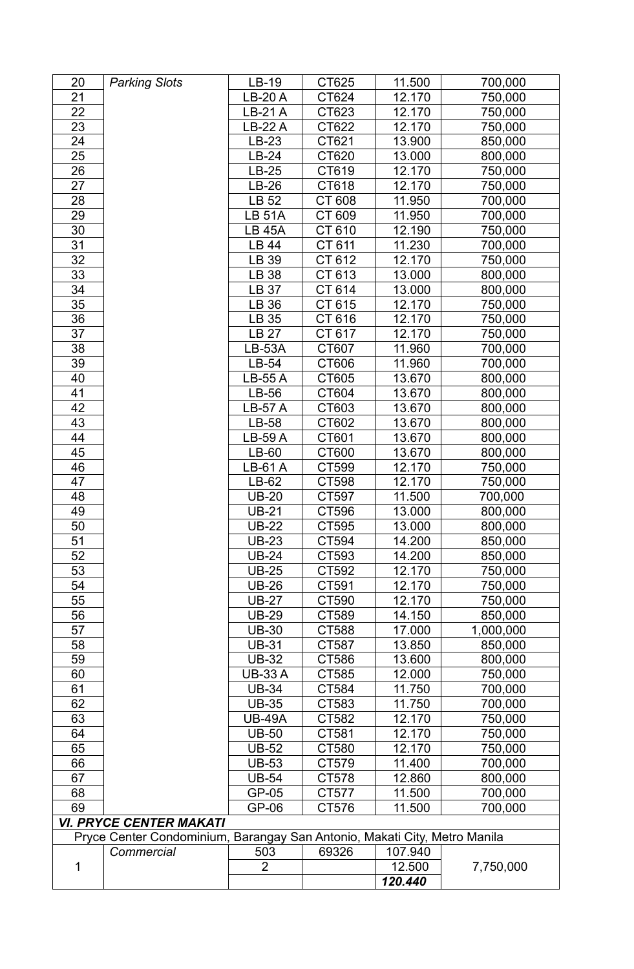| 20              | <b>Parking Slots</b>           | LB-19          | CT625                                           | 11.500  | 700,000   |
|-----------------|--------------------------------|----------------|-------------------------------------------------|---------|-----------|
| 21              |                                | <b>LB-20 A</b> | CT624                                           | 12.170  | 750,000   |
| 22              |                                | LB-21 A        | CT623                                           | 12.170  | 750,000   |
| 23              |                                | <b>LB-22 A</b> | CT622                                           | 12.170  | 750,000   |
| 24              |                                | LB-23          | CT621                                           | 13.900  | 850,000   |
| 25              |                                | LB-24          | CT620                                           | 13.000  | 800,000   |
| 26              |                                | LB-25          | CT619                                           | 12.170  | 750,000   |
| 27              |                                | LB-26          | CT618                                           | 12.170  | 750,000   |
| 28              |                                | LB 52          | CT 608                                          | 11.950  | 700,000   |
| 29              |                                | <b>LB 51A</b>  | CT 609                                          | 11.950  | 700,000   |
| 30              |                                | <b>LB 45A</b>  | CT 610                                          | 12.190  | 750,000   |
| 31              |                                | LB 44          | CT 611                                          | 11.230  | 700,000   |
| 32              |                                | LB 39          | CT 612                                          | 12.170  | 750,000   |
| 33              |                                | LB 38          | CT 613                                          | 13.000  | 800,000   |
| 34              |                                | LB 37          | CT 614                                          | 13.000  | 800,000   |
| 35              |                                | LB 36          | CT 615                                          | 12.170  | 750,000   |
| 36              |                                | LB 35          | CT 616                                          | 12.170  | 750,000   |
| 37              |                                | LB 27          | CT 617                                          | 12.170  | 750,000   |
| 38              |                                | <b>LB-53A</b>  | CT607                                           | 11.960  | 700,000   |
| 39              |                                | LB-54          | CT606                                           | 11.960  | 700,000   |
| 40              |                                | <b>LB-55 A</b> | CT605                                           | 13.670  | 800,000   |
| 41              |                                | LB-56          | CT604                                           | 13.670  | 800,000   |
| 42              |                                | <b>LB-57 A</b> | CT603                                           | 13.670  | 800,000   |
| 43              |                                | LB-58          | CT602                                           | 13.670  | 800,000   |
| 44              |                                | <b>LB-59 A</b> | CT601                                           | 13.670  | 800,000   |
| 45              |                                | LB-60          | CT600                                           | 13.670  | 800,000   |
| 46              |                                | <b>LB-61 A</b> | CT599                                           | 12.170  | 750,000   |
| 47              |                                | LB-62          | CT598                                           | 12.170  | 750,000   |
| 48              |                                | <b>UB-20</b>   | CT597                                           | 11.500  | 700,000   |
| 49              |                                | <b>UB-21</b>   | CT596                                           | 13.000  | 800,000   |
| 50              |                                | <b>UB-22</b>   | CT595                                           | 13.000  | 800,000   |
| $\overline{51}$ |                                | $UB-23$        | CT594                                           | 14.200  | 850,000   |
| 52              |                                | <b>UB-24</b>   | CT593                                           | 14.200  | 850,000   |
| 53              |                                | <b>UB-25</b>   | CT592                                           | 12.170  | 750,000   |
| 54              |                                | <b>UB-26</b>   | CT591                                           | 12.170  | 750,000   |
| 55              |                                | <b>UB-27</b>   | CT590                                           | 12.170  | 750,000   |
| 56              |                                | <b>UB-29</b>   | CT589                                           | 14.150  | 850,000   |
| 57              |                                | <b>UB-30</b>   | CT588                                           | 17.000  | 1,000,000 |
| 58              |                                | <b>UB-31</b>   | CT587                                           | 13.850  | 850,000   |
| 59              |                                | <b>UB-32</b>   | CT586                                           | 13.600  | 800,000   |
| 60              |                                | <b>UB-33 A</b> | CT585                                           | 12.000  | 750,000   |
| 61              |                                | <b>UB-34</b>   | CT584                                           | 11.750  | 700,000   |
| 62              |                                | <b>UB-35</b>   | CT583                                           | 11.750  | 700,000   |
| 63              |                                | <b>UB-49A</b>  | CT582                                           | 12.170  | 750,000   |
| 64              |                                | <b>UB-50</b>   | CT581                                           | 12.170  | 750,000   |
| 65              |                                | <b>UB-52</b>   | CT580                                           | 12.170  | 750,000   |
| 66              |                                | <b>UB-53</b>   | CT579                                           | 11.400  | 700,000   |
| 67              |                                | <b>UB-54</b>   | CT578                                           | 12.860  | 800,000   |
| 68              |                                | GP-05          | CT577                                           | 11.500  | 700,000   |
| 69              |                                | GP-06          | CT576                                           | 11.500  | 700,000   |
|                 | <b>VI. PRYCE CENTER MAKATI</b> |                |                                                 |         |           |
|                 | Pryce Center Condominium,      |                | Barangay San Antonio, Makati City, Metro Manila |         |           |
|                 | Commercial                     | 503            | 69326                                           | 107.940 |           |
| 1               |                                | $\overline{2}$ |                                                 | 12.500  | 7,750,000 |
|                 |                                |                |                                                 | 120.440 |           |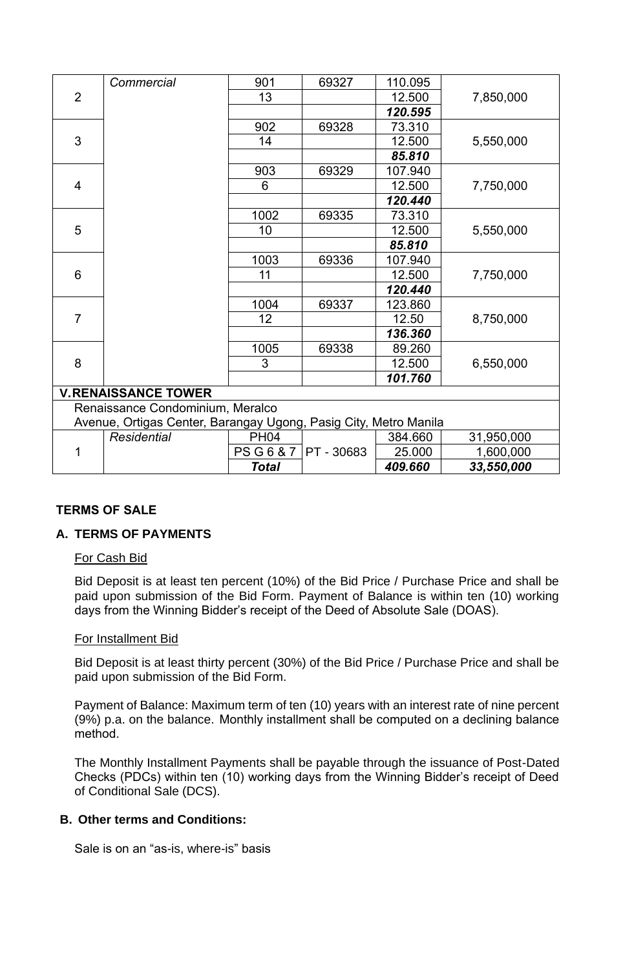|                                  | Commercial                                                       | 901  | 69327 | 110.095   |            |  |
|----------------------------------|------------------------------------------------------------------|------|-------|-----------|------------|--|
| $\overline{2}$                   |                                                                  | 13   |       | 12.500    | 7,850,000  |  |
|                                  |                                                                  |      |       | 120.595   |            |  |
|                                  |                                                                  | 902  | 69328 | 73.310    |            |  |
| 3                                |                                                                  | 14   |       | 12.500    | 5,550,000  |  |
|                                  |                                                                  |      |       | 85.810    |            |  |
|                                  |                                                                  | 903  | 69329 | 107.940   |            |  |
| 4                                |                                                                  | 6    |       | 12.500    | 7,750,000  |  |
|                                  |                                                                  |      |       | 120.440   |            |  |
|                                  |                                                                  | 1002 | 69335 | 73.310    |            |  |
| 5                                |                                                                  | 10   |       | 12.500    | 5,550,000  |  |
|                                  |                                                                  |      |       | 85.810    |            |  |
|                                  |                                                                  | 1003 | 69336 | 107.940   |            |  |
| 6                                |                                                                  | 11   |       | 12.500    | 7,750,000  |  |
|                                  |                                                                  |      |       | 120.440   |            |  |
|                                  |                                                                  | 1004 | 69337 | 123.860   |            |  |
| $\overline{7}$                   |                                                                  | 12   |       | 12.50     | 8,750,000  |  |
|                                  |                                                                  |      |       | 136.360   |            |  |
|                                  |                                                                  | 1005 | 69338 | 89.260    |            |  |
| 8                                |                                                                  | 3    |       | 12.500    | 6,550,000  |  |
|                                  |                                                                  |      |       | 101.760   |            |  |
|                                  | <b>V.RENAISSANCE TOWER</b>                                       |      |       |           |            |  |
| Renaissance Condominium, Meralco |                                                                  |      |       |           |            |  |
|                                  | Avenue, Ortigas Center, Barangay Ugong, Pasig City, Metro Manila |      |       |           |            |  |
|                                  | <b>Decidential</b>                                               | DH04 |       | $381$ GGN | 31 050 000 |  |

| Residential | PH04              |                  | 384.660 | 31,950,000 |
|-------------|-------------------|------------------|---------|------------|
|             | <b>PSG6&amp;7</b> | I PT<br>$-30683$ | 25.000  | 1,600,000  |
|             | Total             |                  | 409,660 | 33,550,000 |

## **TERMS OF SALE**

## **A. TERMS OF PAYMENTS**

#### For Cash Bid

Bid Deposit is at least ten percent (10%) of the Bid Price / Purchase Price and shall be paid upon submission of the Bid Form. Payment of Balance is within ten (10) working days from the Winning Bidder's receipt of the Deed of Absolute Sale (DOAS).

#### For Installment Bid

Bid Deposit is at least thirty percent (30%) of the Bid Price / Purchase Price and shall be paid upon submission of the Bid Form.

Payment of Balance: Maximum term of ten (10) years with an interest rate of nine percent (9%) p.a. on the balance. Monthly installment shall be computed on a declining balance method.

The Monthly Installment Payments shall be payable through the issuance of Post-Dated Checks (PDCs) within ten (10) working days from the Winning Bidder's receipt of Deed of Conditional Sale (DCS).

#### **B. Other terms and Conditions:**

Sale is on an "as-is, where-is" basis